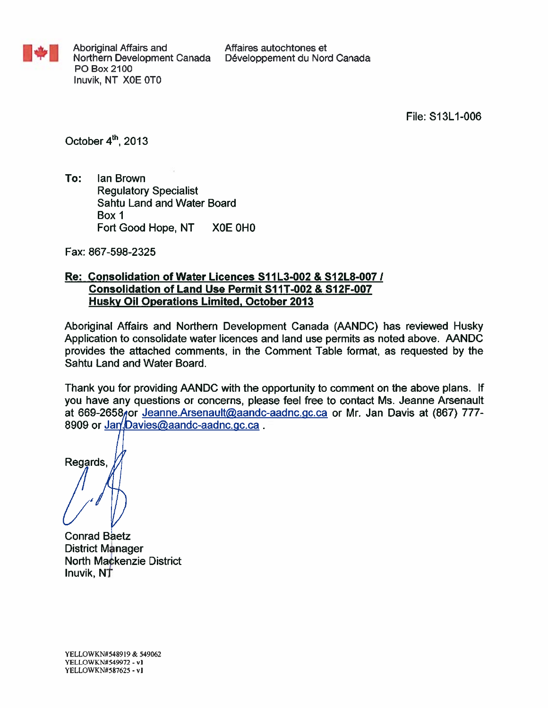

File: S13L1-006

October 4th, 2013

To: lan Brown **Regulatory Specialist** Sahtu Land and Water Board Box 1 Fort Good Hope, NT XOE OHO

Fax: 867-598-2325

## Re: Consolidation of Water Licences S11L3-002 & S12L8-007 / Consolidation of Land Use Permit S11T-002 & S12F-007 **Husky Oil Operations Limited, October 2013**

Aboriginal Affairs and Northern Development Canada (AANDC) has reviewed Husky Application to consolidate water licences and land use permits as noted above. AANDC provides the attached comments, in the Comment Table format, as requested by the Sahtu Land and Water Board.

Thank you for providing AANDC with the opportunity to comment on the above plans. If you have any questions or concerns, please feel free to contact Ms. Jeanne Arsenault at 669-2658 for Jeanne Arsenault@aandc-aadnc.gc.ca or Mr. Jan Davis at (867) 777-8909 or Jan/Davies@aandc-aadnc.gc.ca.

Regards.

**Conrad Baetz District Manager** North Mackenzie District Inuvik, NT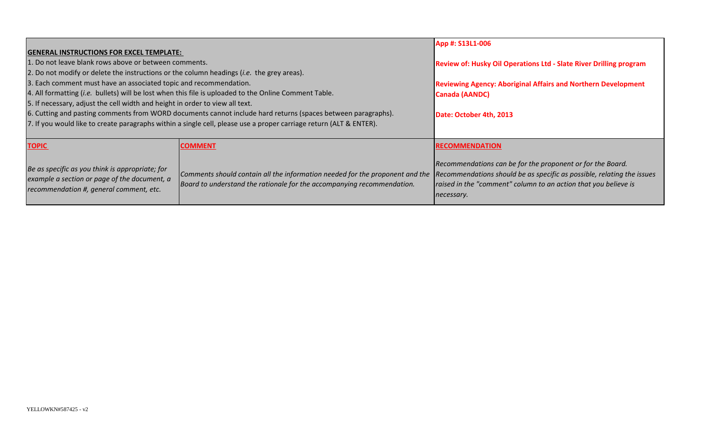| <b>GENERAL INSTRUCTIONS FOR EXCEL TEMPLATE:</b>                                                                                                                                                                                                                                                                                                                                                                                                                                                                                                                                                       | App #: S13L1-006                                                                                                                                                                                                              |                                                                                                                                             |
|-------------------------------------------------------------------------------------------------------------------------------------------------------------------------------------------------------------------------------------------------------------------------------------------------------------------------------------------------------------------------------------------------------------------------------------------------------------------------------------------------------------------------------------------------------------------------------------------------------|-------------------------------------------------------------------------------------------------------------------------------------------------------------------------------------------------------------------------------|---------------------------------------------------------------------------------------------------------------------------------------------|
| 1. Do not leave blank rows above or between comments.                                                                                                                                                                                                                                                                                                                                                                                                                                                                                                                                                 |                                                                                                                                                                                                                               | Review of: Husky Oil Operations Ltd - Slate River Drilling program                                                                          |
| 2. Do not modify or delete the instructions or the column headings ( <i>i.e.</i> the grey areas).<br>3. Each comment must have an associated topic and recommendation.<br>4. All formatting (i.e. bullets) will be lost when this file is uploaded to the Online Comment Table.<br>5. If necessary, adjust the cell width and height in order to view all text.<br>6. Cutting and pasting comments from WORD documents cannot include hard returns (spaces between paragraphs).<br>7. If you would like to create paragraphs within a single cell, please use a proper carriage return (ALT & ENTER). |                                                                                                                                                                                                                               | <b>Reviewing Agency: Aboriginal Affairs and Northern Development</b><br><b>Canada (AANDC)</b><br>Date: October 4th, 2013                    |
| <b>TOPIC</b>                                                                                                                                                                                                                                                                                                                                                                                                                                                                                                                                                                                          | <b>COMMENT</b>                                                                                                                                                                                                                | <b>RECOMMENDATION</b>                                                                                                                       |
| Be as specific as you think is appropriate; for<br>example a section or page of the document, a<br>recommendation #, general comment, etc.                                                                                                                                                                                                                                                                                                                                                                                                                                                            | Comments should contain all the information needed for the proponent and the Recommendations should be as specific as possible, relating the issues<br>Board to understand the rationale for the accompanying recommendation. | Recommendations can be for the proponent or for the Board.<br>raised in the "comment" column to an action that you believe is<br>necessary. |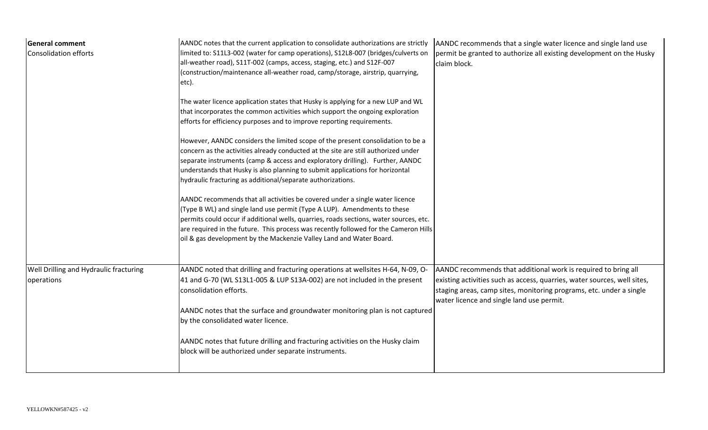| <b>General comment</b><br>Consolidation efforts      | AANDC notes that the current application to consolidate authorizations are strictly<br>limited to: S11L3-002 (water for camp operations), S12L8-007 (bridges/culverts on<br>all-weather road), S11T-002 (camps, access, staging, etc.) and S12F-007<br>(construction/maintenance all-weather road, camp/storage, airstrip, quarrying,<br>etc).                                                                    | AANDC recommends that a single water licence and single land use<br>permit be granted to authorize all existing development on the Husky<br>claim block.                                                                                                       |
|------------------------------------------------------|-------------------------------------------------------------------------------------------------------------------------------------------------------------------------------------------------------------------------------------------------------------------------------------------------------------------------------------------------------------------------------------------------------------------|----------------------------------------------------------------------------------------------------------------------------------------------------------------------------------------------------------------------------------------------------------------|
|                                                      | The water licence application states that Husky is applying for a new LUP and WL<br>that incorporates the common activities which support the ongoing exploration<br>efforts for efficiency purposes and to improve reporting requirements.                                                                                                                                                                       |                                                                                                                                                                                                                                                                |
|                                                      | However, AANDC considers the limited scope of the present consolidation to be a<br>concern as the activities already conducted at the site are still authorized under<br>separate instruments (camp & access and exploratory drilling). Further, AANDC<br>understands that Husky is also planning to submit applications for horizontal<br>hydraulic fracturing as additional/separate authorizations.            |                                                                                                                                                                                                                                                                |
|                                                      | AANDC recommends that all activities be covered under a single water licence<br>(Type B WL) and single land use permit (Type A LUP). Amendments to these<br>permits could occur if additional wells, quarries, roads sections, water sources, etc.<br>are required in the future. This process was recently followed for the Cameron Hills<br>oil & gas development by the Mackenzie Valley Land and Water Board. |                                                                                                                                                                                                                                                                |
| Well Drilling and Hydraulic fracturing<br>operations | AANDC noted that drilling and fracturing operations at wellsites H-64, N-09, O-<br>41 and G-70 (WL S13L1-005 & LUP S13A-002) are not included in the present<br>consolidation efforts.                                                                                                                                                                                                                            | AANDC recommends that additional work is required to bring all<br>existing activities such as access, quarries, water sources, well sites,<br>staging areas, camp sites, monitoring programs, etc. under a single<br>water licence and single land use permit. |
|                                                      | AANDC notes that the surface and groundwater monitoring plan is not captured<br>by the consolidated water licence.                                                                                                                                                                                                                                                                                                |                                                                                                                                                                                                                                                                |
|                                                      | AANDC notes that future drilling and fracturing activities on the Husky claim<br>block will be authorized under separate instruments.                                                                                                                                                                                                                                                                             |                                                                                                                                                                                                                                                                |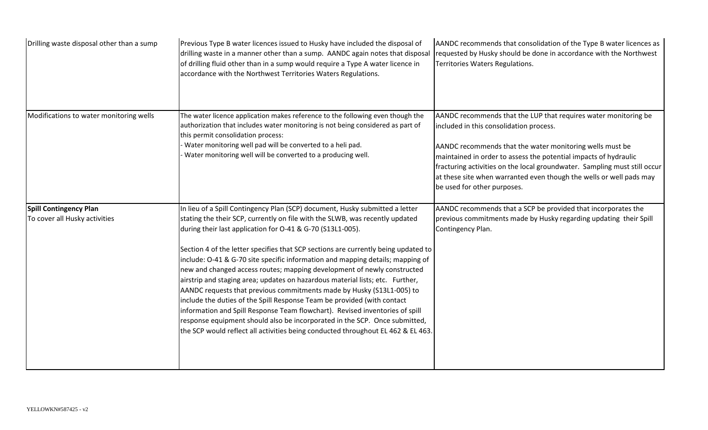| Drilling waste disposal other than a sump                      | Previous Type B water licences issued to Husky have included the disposal of<br>drilling waste in a manner other than a sump. AANDC again notes that disposal<br>of drilling fluid other than in a sump would require a Type A water licence in<br>accordance with the Northwest Territories Waters Regulations.                                                                                                                                                                                                                                                                                                                                                                                                                                                                                                                                                                                                                                                     | AANDC recommends that consolidation of the Type B water licences as<br>requested by Husky should be done in accordance with the Northwest<br>Territories Waters Regulations.                                                                                                                                                                                                                                                  |
|----------------------------------------------------------------|----------------------------------------------------------------------------------------------------------------------------------------------------------------------------------------------------------------------------------------------------------------------------------------------------------------------------------------------------------------------------------------------------------------------------------------------------------------------------------------------------------------------------------------------------------------------------------------------------------------------------------------------------------------------------------------------------------------------------------------------------------------------------------------------------------------------------------------------------------------------------------------------------------------------------------------------------------------------|-------------------------------------------------------------------------------------------------------------------------------------------------------------------------------------------------------------------------------------------------------------------------------------------------------------------------------------------------------------------------------------------------------------------------------|
| Modifications to water monitoring wells                        | The water licence application makes reference to the following even though the<br>authorization that includes water monitoring is not being considered as part of<br>this permit consolidation process:<br>Water monitoring well pad will be converted to a heli pad.<br>Water monitoring well will be converted to a producing well.                                                                                                                                                                                                                                                                                                                                                                                                                                                                                                                                                                                                                                | AANDC recommends that the LUP that requires water monitoring be<br>included in this consolidation process.<br>AANDC recommends that the water monitoring wells must be<br>maintained in order to assess the potential impacts of hydraulic<br>fracturing activities on the local groundwater. Sampling must still occur<br>at these site when warranted even though the wells or well pads may<br>be used for other purposes. |
| <b>Spill Contingency Plan</b><br>To cover all Husky activities | In lieu of a Spill Contingency Plan (SCP) document, Husky submitted a letter<br>stating the their SCP, currently on file with the SLWB, was recently updated<br>during their last application for O-41 & G-70 (S13L1-005).<br>Section 4 of the letter specifies that SCP sections are currently being updated to<br>include: O-41 & G-70 site specific information and mapping details; mapping of<br>new and changed access routes; mapping development of newly constructed<br>airstrip and staging area; updates on hazardous material lists; etc. Further,<br>AANDC requests that previous commitments made by Husky (S13L1-005) to<br>include the duties of the Spill Response Team be provided (with contact<br>information and Spill Response Team flowchart). Revised inventories of spill<br>response equipment should also be incorporated in the SCP. Once submitted,<br>the SCP would reflect all activities being conducted throughout EL 462 & EL 463. | AANDC recommends that a SCP be provided that incorporates the<br>previous commitments made by Husky regarding updating their Spill<br>Contingency Plan.                                                                                                                                                                                                                                                                       |